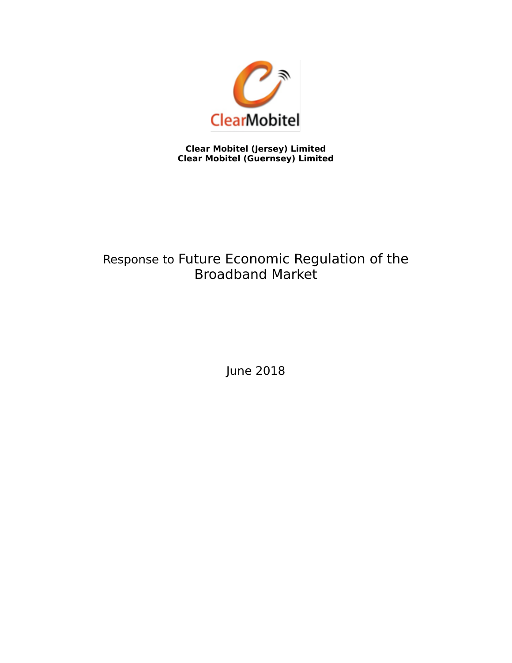

**Clear Mobitel (Jersey) Limited Clear Mobitel (Guernsey) Limited**

# Response to Future Economic Regulation of the Broadband Market

June 2018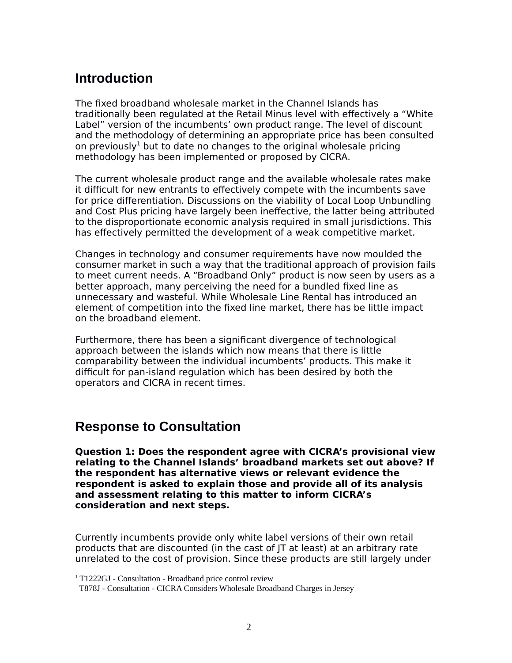## **Introduction**

The fixed broadband wholesale market in the Channel Islands has traditionally been regulated at the Retail Minus level with effectively a "White Label" version of the incumbents' own product range. The level of discount and the methodology of determining an appropriate price has been consulted on previously<sup>[1](#page-1-0)</sup> but to date no changes to the original wholesale pricing methodology has been implemented or proposed by CICRA.

The current wholesale product range and the available wholesale rates make it difficult for new entrants to effectively compete with the incumbents save for price differentiation. Discussions on the viability of Local Loop Unbundling and Cost Plus pricing have largely been ineffective, the latter being attributed to the disproportionate economic analysis required in small jurisdictions. This has effectively permitted the development of a weak competitive market.

Changes in technology and consumer requirements have now moulded the consumer market in such a way that the traditional approach of provision fails to meet current needs. A "Broadband Only" product is now seen by users as a better approach, many perceiving the need for a bundled fixed line as unnecessary and wasteful. While Wholesale Line Rental has introduced an element of competition into the fixed line market, there has be little impact on the broadband element.

Furthermore, there has been a significant divergence of technological approach between the islands which now means that there is little comparability between the individual incumbents' products. This make it difficult for pan-island regulation which has been desired by both the operators and CICRA in recent times.

### **Response to Consultation**

**Question 1: Does the respondent agree with CICRA's provisional view relating to the Channel Islands' broadband markets set out above? If the respondent has alternative views or relevant evidence the respondent is asked to explain those and provide all of its analysis and assessment relating to this matter to inform CICRA's consideration and next steps.**

Currently incumbents provide only white label versions of their own retail products that are discounted (in the cast of JT at least) at an arbitrary rate unrelated to the cost of provision. Since these products are still largely under

<span id="page-1-0"></span><sup>1</sup> T1222GJ - Consultation - Broadband price control review

T878J - Consultation - CICRA Considers Wholesale Broadband Charges in Jersey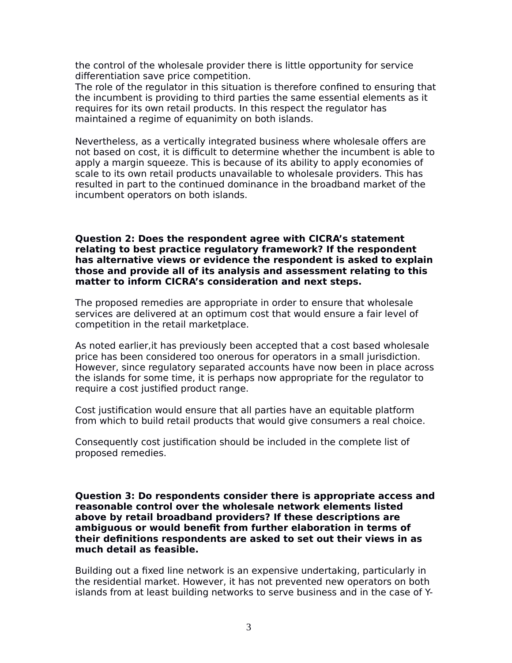the control of the wholesale provider there is little opportunity for service differentiation save price competition.

The role of the regulator in this situation is therefore confined to ensuring that the incumbent is providing to third parties the same essential elements as it requires for its own retail products. In this respect the regulator has maintained a regime of equanimity on both islands.

Nevertheless, as a vertically integrated business where wholesale offers are not based on cost, it is difficult to determine whether the incumbent is able to apply a margin squeeze. This is because of its ability to apply economies of scale to its own retail products unavailable to wholesale providers. This has resulted in part to the continued dominance in the broadband market of the incumbent operators on both islands.

#### **Question 2: Does the respondent agree with CICRA's statement relating to best practice regulatory framework? If the respondent has alternative views or evidence the respondent is asked to explain those and provide all of its analysis and assessment relating to this matter to inform CICRA's consideration and next steps.**

The proposed remedies are appropriate in order to ensure that wholesale services are delivered at an optimum cost that would ensure a fair level of competition in the retail marketplace.

As noted earlier,it has previously been accepted that a cost based wholesale price has been considered too onerous for operators in a small jurisdiction. However, since regulatory separated accounts have now been in place across the islands for some time, it is perhaps now appropriate for the regulator to require a cost justified product range.

Cost justification would ensure that all parties have an equitable platform from which to build retail products that would give consumers a real choice.

Consequently cost justification should be included in the complete list of proposed remedies.

**Question 3: Do respondents consider there is appropriate access and reasonable control over the wholesale network elements listed above by retail broadband providers? If these descriptions are ambiguous or would benefit from further elaboration in terms of their definitions respondents are asked to set out their views in as much detail as feasible.**

Building out a fixed line network is an expensive undertaking, particularly in the residential market. However, it has not prevented new operators on both islands from at least building networks to serve business and in the case of Y-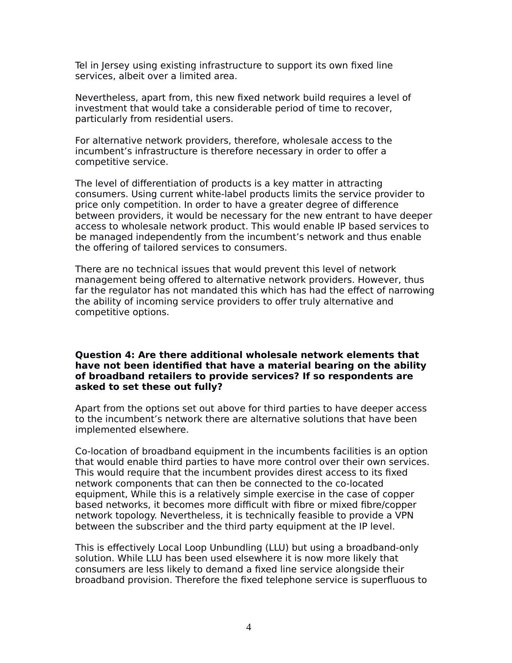Tel in Jersey using existing infrastructure to support its own fixed line services, albeit over a limited area.

Nevertheless, apart from, this new fixed network build requires a level of investment that would take a considerable period of time to recover, particularly from residential users.

For alternative network providers, therefore, wholesale access to the incumbent's infrastructure is therefore necessary in order to offer a competitive service.

The level of differentiation of products is a key matter in attracting consumers. Using current white-label products limits the service provider to price only competition. In order to have a greater degree of difference between providers, it would be necessary for the new entrant to have deeper access to wholesale network product. This would enable IP based services to be managed independently from the incumbent's network and thus enable the offering of tailored services to consumers.

There are no technical issues that would prevent this level of network management being offered to alternative network providers. However, thus far the regulator has not mandated this which has had the effect of narrowing the ability of incoming service providers to offer truly alternative and competitive options.

#### **Question 4: Are there additional wholesale network elements that have not been identified that have a material bearing on the ability of broadband retailers to provide services? If so respondents are asked to set these out fully?**

Apart from the options set out above for third parties to have deeper access to the incumbent's network there are alternative solutions that have been implemented elsewhere.

Co-location of broadband equipment in the incumbents facilities is an option that would enable third parties to have more control over their own services. This would require that the incumbent provides direst access to its fixed network components that can then be connected to the co-located equipment, While this is a relatively simple exercise in the case of copper based networks, it becomes more difficult with fibre or mixed fibre/copper network topology. Nevertheless, it is technically feasible to provide a VPN between the subscriber and the third party equipment at the IP level.

This is effectively Local Loop Unbundling (LLU) but using a broadband-only solution. While LLU has been used elsewhere it is now more likely that consumers are less likely to demand a fixed line service alongside their broadband provision. Therefore the fixed telephone service is superfluous to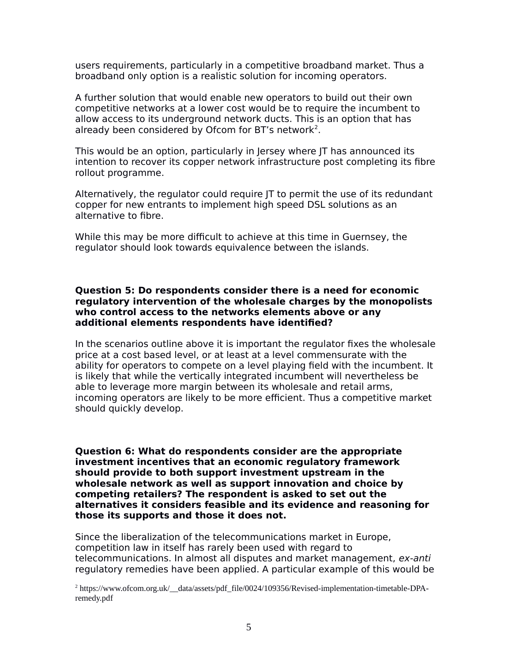users requirements, particularly in a competitive broadband market. Thus a broadband only option is a realistic solution for incoming operators.

A further solution that would enable new operators to build out their own competitive networks at a lower cost would be to require the incumbent to allow access to its underground network ducts. This is an option that has already been considered by Ofcom for BT's network<sup>[2](#page-4-0)</sup>.

This would be an option, particularly in Jersey where JT has announced its intention to recover its copper network infrastructure post completing its fibre rollout programme.

Alternatively, the regulator could require JT to permit the use of its redundant copper for new entrants to implement high speed DSL solutions as an alternative to fibre.

While this may be more difficult to achieve at this time in Guernsey, the regulator should look towards equivalence between the islands.

#### **Question 5: Do respondents consider there is a need for economic regulatory intervention of the wholesale charges by the monopolists who control access to the networks elements above or any additional elements respondents have identified?**

In the scenarios outline above it is important the regulator fixes the wholesale price at a cost based level, or at least at a level commensurate with the ability for operators to compete on a level playing field with the incumbent. It is likely that while the vertically integrated incumbent will nevertheless be able to leverage more margin between its wholesale and retail arms, incoming operators are likely to be more efficient. Thus a competitive market should quickly develop.

**Question 6: What do respondents consider are the appropriate investment incentives that an economic regulatory framework should provide to both support investment upstream in the wholesale network as well as support innovation and choice by competing retailers? The respondent is asked to set out the alternatives it considers feasible and its evidence and reasoning for those its supports and those it does not.**

Since the liberalization of the telecommunications market in Europe, competition law in itself has rarely been used with regard to telecommunications. In almost all disputes and market management, ex-anti regulatory remedies have been applied. A particular example of this would be

<span id="page-4-0"></span>2 https://www.ofcom.org.uk/\_\_data/assets/pdf\_file/0024/109356/Revised-implementation-timetable-DPAremedy.pdf